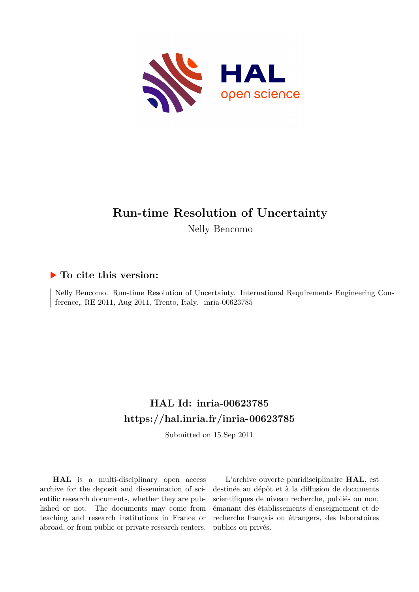

#### **Run-time Resolution of Uncertainty**

Nelly Bencomo

#### **To cite this version:**

Nelly Bencomo. Run-time Resolution of Uncertainty. International Requirements Engineering Conference, RE 2011, Aug 2011, Trento, Italy. inria-00623785

#### **HAL Id: inria-00623785 <https://hal.inria.fr/inria-00623785>**

Submitted on 15 Sep 2011

**HAL** is a multi-disciplinary open access archive for the deposit and dissemination of scientific research documents, whether they are published or not. The documents may come from teaching and research institutions in France or abroad, or from public or private research centers.

L'archive ouverte pluridisciplinaire **HAL**, est destinée au dépôt et à la diffusion de documents scientifiques de niveau recherche, publiés ou non, émanant des établissements d'enseignement et de recherche français ou étrangers, des laboratoires publics ou privés.